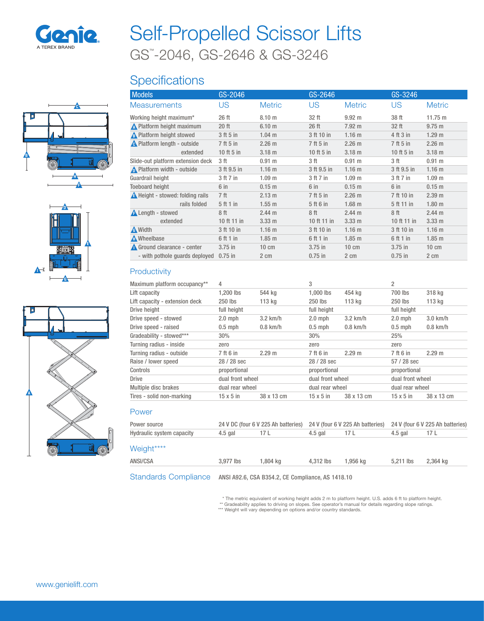

# GS™ -2046, GS-2646 & GS-3246 Self-Propelled Scissor Lifts

## **Specifications**







| <b>Models</b>                           | GS-2046         |                   | GS-2646      |                   | GS-3246     |                   |
|-----------------------------------------|-----------------|-------------------|--------------|-------------------|-------------|-------------------|
| <b>Measurements</b>                     | US              | <b>Metric</b>     | US           | <b>Metric</b>     | US.         | <b>Metric</b>     |
| Working height maximum*                 | 26 ft           | 8.10 m            | 32 ft        | $9.92 \text{ m}$  | 38 ft       | 11.75 m           |
| <b>A</b> Platform height maximum        | $20$ ft         | 6.10 <sub>m</sub> | 26 ft        | $7.92 \text{ m}$  | 32 ft       | $9.75 \text{ m}$  |
| A Platform height stowed                | 3 ft 5 in       | $1.04$ m          | 3 ft 10 in   | 1.16 <sub>m</sub> | 4 ft 3 in   | 1.29 <sub>m</sub> |
| <b>A</b> Platform length - outside      | 7 ft 5 in       | 2.26 m            | 7 ft 5 in    | 2.26 m            | 7 ft 5 in   | $2.26$ m          |
| extended                                | 10 ft $5$ in    | 3.18 <sub>m</sub> | 10 ft $5$ in | 3.18 <sub>m</sub> | 10 ft 5 in  | 3.18 <sub>m</sub> |
| Slide-out platform extension deck       | 3 ft            | 0.91 m            | 3 ft         | 0.91 m            | 3 ft        | 0.91 m            |
| $\bigwedge$ Platform width - outside    | 3 ft 9.5 in     | 1.16 <sub>m</sub> | 3 ft 9.5 in  | 1.16 <sub>m</sub> | 3 ft 9.5 in | 1.16 <sub>m</sub> |
| Guardrail height                        | 3 ft 7 in       | 1.09 <sub>m</sub> | 3 ft 7 in    | 1.09 <sub>m</sub> | 3 ft 7 in   | 1.09 <sub>m</sub> |
| <b>Toeboard height</b>                  | $6$ in          | 0.15 <sub>m</sub> | $6$ in       | 0.15 m            | 6 in        | 0.15 <sub>m</sub> |
| <b>A</b> Height - stowed: folding rails | 7 <sup>ft</sup> | 2.13 m            | 7 ft 5 in    | 2.26 m            | 7 ft 10 in  | 2.39 m            |
| rails folded                            | 5 ft 1 in       | $1.55$ m          | 5 ft 6 in    | $1.68$ m          | 5 ft 11 in  | 1.80 <sub>m</sub> |
| <b>A</b> Length - stowed                | 8 <sup>ft</sup> | $2.44 \text{ m}$  | 8 ft         | 2.44 m            | 8 ft        | $2.44 \text{ m}$  |
| extended                                | 10 ft 11 in     | $3.33 \text{ m}$  | 10 ft 11 in  | $3.33 \text{ m}$  | 10 ft 11 in | $3.33 \text{ m}$  |
| A Width                                 | 3 ft 10 in      | 1.16 <sub>m</sub> | 3 ft 10 in   | 1.16 <sub>m</sub> | 3 ft 10 in  | 1.16 <sub>m</sub> |
| <b>A</b> Wheelbase                      | 6 ft 1 in       | $1.85$ m          | 6 ft 1 in    | $1.85$ m          | 6 ft 1 in   | $1.85$ m          |
| Ground clearance - center               | $3.75$ in       | $10 \text{ cm}$   | $3.75$ in    | $10 \text{ cm}$   | $3.75$ in   | $10 \text{ cm}$   |
| - with pothole quards deployed          | $0.75$ in       | 2 cm              | $0.75$ in    | $2 \text{ cm}$    | $0.75$ in   | 2 cm              |
|                                         |                 |                   |              |                   |             |                   |

### **Productivity**

| Maximum platform occupancy**   | 4                |            | 3                |                  | 2                |                  |  |
|--------------------------------|------------------|------------|------------------|------------------|------------------|------------------|--|
| Lift capacity                  | 1.200 lbs        | 544 ka     | $1.000$ lbs      | 454 kg           | 700 lbs          | 318 kg           |  |
| Lift capacity - extension deck | 250 lbs          | 113 kg     | $250$ lbs        | 113 kg           | 250 lbs          | 113 kg           |  |
| Drive height                   | full height      |            | full height      |                  |                  | full height      |  |
| Drive speed - stowed           | $2.0$ mph        | $3.2$ km/h | $2.0$ mph        | $3.2$ km/h       | $2.0$ mph        | $3.0$ km/h       |  |
| Drive speed - raised           | $0.5$ mph        | $0.8$ km/h | $0.5$ mph        | $0.8$ km/h       | $0.5$ mph        | $0.8$ km/h       |  |
| Gradeability - stowed***       | 30%              |            | 30%              |                  | 25%              |                  |  |
| Turning radius - inside        | zero             |            | zero             |                  | zero             |                  |  |
| Turning radius - outside       | 7 ft 6 in        | 2.29 m     | 7 ft 6 in        | 2.29 m           | 7 ft 6 in        | 2.29 m           |  |
| Raise / lower speed            | $28/28$ sec      |            | $28/28$ sec      |                  |                  | $57/28$ sec      |  |
| Controls                       | proportional     |            |                  | proportional     |                  | proportional     |  |
| <b>Drive</b>                   | dual front wheel |            |                  | dual front wheel |                  | dual front wheel |  |
| Multiple disc brakes           | dual rear wheel  |            |                  | dual rear wheel  |                  | dual rear wheel  |  |
| Tires - solid non-marking      | $15 \times 5$ in | 38 x 13 cm | $15 \times 5$ in | 38 x 13 cm       | $15 \times 5$ in | 38 x 13 cm       |  |

#### Power

| Power source                |                                                   | 24 V DC (four 6 V 225 Ah batteries) |           | 24 V (four 6 V 225 Ah batteries) |           | 24 V (four 6 V 225 Ah batteries) |
|-----------------------------|---------------------------------------------------|-------------------------------------|-----------|----------------------------------|-----------|----------------------------------|
| Hydraulic system capacity   | $4.5$ gal                                         | 17 L                                | 4.5 gal   | 17 L                             | 4.5 gal   | 17 L                             |
| Weight****                  |                                                   |                                     |           |                                  |           |                                  |
| ANSI/CSA                    | 3.977 lbs                                         | 1.804 ka                            | 4.312 lbs | 1.956 ka                         | 5.211 lbs | 2.364 kg                         |
| <b>Standards Compliance</b> | ANSI A92.6, CSA B354.2, CE Compliance, AS 1418.10 |                                     |           |                                  |           |                                  |

\* The metric equivalent of working height adds 2 m to platform height. U.S. adds 6 ft to platform height.<br>\*\* Gradeability applies to driving on slopes. See operator's manual for details regarding slope ratings.<br>\*\*\* Weight